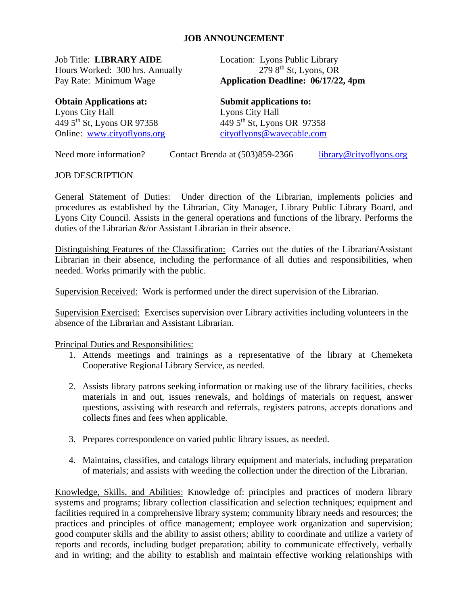## **JOB ANNOUNCEMENT**

Job Title: **LIBRARY AIDE** Location: Lyons Public Library Hours Worked: 300 hrs. Annually

**Obtain Applications at: Submit applications to:** Lyons City Hall<br>
449 5<sup>th</sup> St, Lyons OR 97358<br>
449 5<sup>th</sup> St, Lyons OR 97358  $449\,5$ <sup>th</sup> St, Lyons OR 97358 Online: [www.cityoflyons.org](http://www.cityoflyons.org/) [cityoflyons@wavecable.com](mailto:cityoflyons@wavecable.com)

 $2798$ <sup>th</sup> St, Lyons, OR Pay Rate: Minimum Wage **Application Deadline: 06/17/22, 4pm**

Need more information? Contact Brenda at (503)859-2366 [library@cityoflyons.org](mailto:library@cityoflyons.org)

JOB DESCRIPTION

General Statement of Duties: Under direction of the Librarian, implements policies and procedures as established by the Librarian, City Manager, Library Public Library Board, and Lyons City Council. Assists in the general operations and functions of the library. Performs the duties of the Librarian &/or Assistant Librarian in their absence.

Distinguishing Features of the Classification: Carries out the duties of the Librarian/Assistant Librarian in their absence, including the performance of all duties and responsibilities, when needed. Works primarily with the public.

Supervision Received: Work is performed under the direct supervision of the Librarian.

Supervision Exercised: Exercises supervision over Library activities including volunteers in the absence of the Librarian and Assistant Librarian.

Principal Duties and Responsibilities:

- 1. Attends meetings and trainings as a representative of the library at Chemeketa Cooperative Regional Library Service, as needed.
- 2. Assists library patrons seeking information or making use of the library facilities, checks materials in and out, issues renewals, and holdings of materials on request, answer questions, assisting with research and referrals, registers patrons, accepts donations and collects fines and fees when applicable.
- 3. Prepares correspondence on varied public library issues, as needed.
- 4. Maintains, classifies, and catalogs library equipment and materials, including preparation of materials; and assists with weeding the collection under the direction of the Librarian.

Knowledge, Skills, and Abilities: Knowledge of: principles and practices of modern library systems and programs; library collection classification and selection techniques; equipment and facilities required in a comprehensive library system; community library needs and resources; the practices and principles of office management; employee work organization and supervision; good computer skills and the ability to assist others; ability to coordinate and utilize a variety of reports and records, including budget preparation; ability to communicate effectively, verbally and in writing; and the ability to establish and maintain effective working relationships with